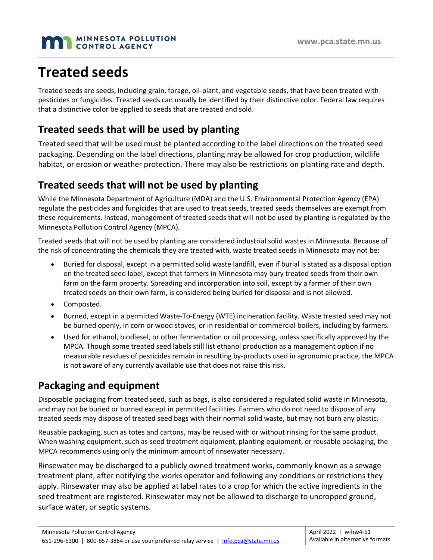#### **MINNESOTA POLLUTION** CONTROL AGENCY

# **Treated seeds**

Treated seeds are seeds, including grain, forage, oil-plant, and vegetable seeds, that have been treated with pesticides or fungicides. Treated seeds can usually be identified by their distinctive color. Federal law requires that a distinctive color be applied to seeds that are treated and sold.

### **Treated seeds that will be used by planting**

Treated seed that will be used must be planted according to the label directions on the treated seed packaging. Depending on the label directions, planting may be allowed for crop production, wildlife habitat, or erosion or weather protection. There may also be restrictions on planting rate and depth.

### **Treated seeds that will not be used by planting**

While the Minnesota Department of Agriculture (MDA) and the U.S. Environmental Protection Agency (EPA) regulate the pesticides and fungicides that are used to treat seeds, treated seeds themselves are exempt from these requirements. Instead, management of treated seeds that will not be used by planting is regulated by the Minnesota Pollution Control Agency (MPCA).

Treated seeds that will not be used by planting are considered industrial solid wastes in Minnesota. Because of the risk of concentrating the chemicals they are treated with, waste treated seeds in Minnesota may not be:

- Buried for disposal, except in a permitted solid waste landfill, even if burial is stated as a disposal option on the treated seed label, except that farmers in Minnesota may bury treated seeds from their own farm on the farm property. Spreading and incorporation into soil, except by a farmer of their own treated seeds on their own farm, is considered being buried for disposal and is not allowed.
- Composted.
- Burned, except in a permitted Waste-To-Energy (WTE) incineration facility. Waste treated seed may not be burned openly, in corn or wood stoves, or in residential or commercial boilers, including by farmers.
- Used for ethanol, biodiesel, or other fermentation or oil processing, unless specifically approved by the MPCA. Though some treated seed labels still list ethanol production as a management option if no measurable residues of pesticides remain in resulting by-products used in agronomic practice, the MPCA is not aware of any currently available use that does not raise this risk.

## **Packaging and equipment**

Disposable packaging from treated seed, such as bags, is also considered a regulated solid waste in Minnesota, and may not be buried or burned except in permitted facilities. Farmers who do not need to dispose of any treated seeds may dispose of treated seed bags with their normal solid waste, but may not burn any plastic.

Reusable packaging, such as totes and cartons, may be reused with or without rinsing for the same product. When washing equipment, such as seed treatment equipment, planting equipment, or reusable packaging, the MPCA recommends using only the minimum amount of rinsewater necessary.

Rinsewater may be discharged to a publicly owned treatment works, commonly known as a sewage treatment plant, after notifying the works operator and following any conditions or restrictions they apply. Rinsewater may also be applied at label rates to a crop for which the active ingredients in the seed treatment are registered. Rinsewater may not be allowed to discharge to uncropped ground, surface water, or septic systems.